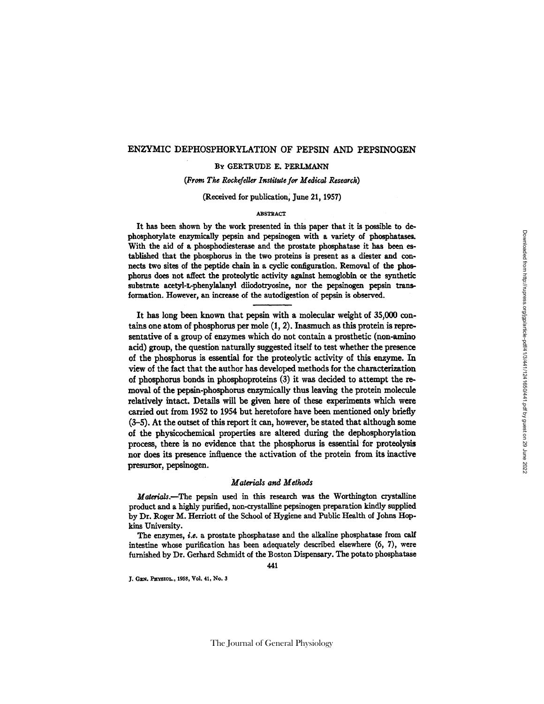### ENZYMIC DEPHOSPHORYLATION OF PEPSIN AND PEPSINOGEN

#### BY GERTRUDE E. PERLMANN

(From *The Rockefeller Institute for Medical Research)* 

(Received for publicstion, June 21, 1957)

#### ABSTRACT

It has been shown by the work presented in this paper that it is possible to dephosphorylate enzymically pepsin and pepsinogen with a variety of phosplmtases. With the aid of a phosphodiesterase and the prostate phosphatase it has been established that the phosphorus in the two proteins is present as a diester and connects two sites of the peptide chain in a cyclic configuration. Removal of the phosphorus does not affect the proteolytic activity against hemoglobin or the synthetic substrate acetyl-L-phenylalanyl diiodotryosine, nor the pepsinogen pepsin transformation. However, an increase of the autodigestion of pepsin is observed.

It has long been known that pepsin with a molecular weight of 35,000 contains one atom of phosphorus per mole (I, 2). Inasmuch as this protein is representative of a group of enzymes which do not contain a prosthetic (non-amlno acid) group, the question naturally suggested itself to test whether the presence of the phosphorus is essential for the proteolytic activity of this enzyme. In view of the fact that the author has developed methods for the characterization of phosphorus bonds in phosphoproteins (3) it was decided to attempt the removal of the pepsin-phosphorus enzymically thus leaving the protein molecule relatively intact. Details will be given here of these experiments which were carried out from 1952 to 1954 but heretofore have been mentioned only briefly (3-5). At the outset of this report it can, however, be stated that although some of the physicochemical properties are altered during the dephosphorylation process, there is no evidence that the phosphorus is essential for proteolysis nor does its presence influence the activation of the protein from its inactive presursor, pepsinogen.

#### *Materials and Methods*

Materials.--The pepsin used in this research was the Worthington crystalline product and a highly purified, non-crystalline pepsinogen preparation kindly supplied by Dr. Roger M. Herriott of the School of Hygiene and Public Health of Johns Hopkins University.

The enzymes, *i.e.* a prostate phosphatase and the alkaline phosphatase from calf intestine whose purification has been adequately described elsewhere (6, 7), were furnished by Dr. Gerhard Schmidt of the Boston Dispensary. The potato phosphatase

441

J. GEN. PHYSIOL., 1958, Vol. 41, No. 3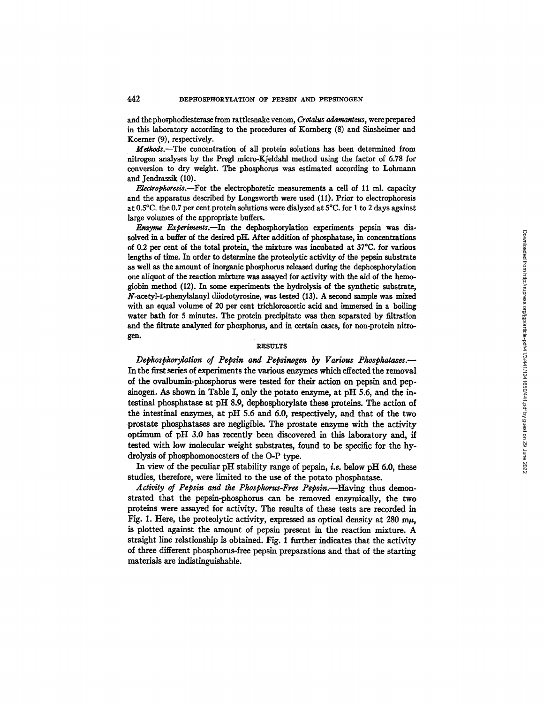and the phosphodiesterase from rattlesnake venom, *Crotalus adamanteus,* were prepared in this laboratory according to the procedures of Komberg (8) and Sinsheimer and Koerner (9), respectively.

Methods.--The concentration of all protein solutions has been determined from nitrogen analyses by the Pregl micro-Kjeldahl method using the factor of 6.78 for conversion to dry weight. The phosphorus was estimated according to Lohmann and Jendrassik (10).

*E, lectropkoresis.--For the* electrophoretic measurements a cell of 11 ml. capacity and the apparatus described by Longsworth were used (11). Prior to electrophoresis at 0.5°C. the 0.7 per cent protein solutions were dialyzed at 5°C. for 1 to 2 days against large volumes of the appropriate buffers.

*Enzyme Experiments.*—In the dephosphorylation experiments pepsin was dissolved in a buffer of the desired pH. After addition of phosphatase, in concentrations of 0.2 per cent of the total protein, the mixture was incubated at 37°C. for various lengths of time. In order to determine the proteolytic activity of the pepsin substrate as well as the amount of inorganic phosphorus released during the dephosphorylation one aliquot of the reaction mixture was assayed for activity with the aid of the hemoglobin method (12). In some experiments the hydrolysis of the synthetic substrate, N-acetyl-L-phenylalanyl diiodotyrosine, was tested (13). A second sample was mixed with an equal volume of 20 per cent trichloroacetic acid and immersed in a boiling water bath for 5 minutes. The protein precipitate was then separated by filtration and the filtrate analyzed for phosphorus, and in certain cases, for non-protein **nitrogen.** 

#### **RESULTS**

*Depkospkorylation of Pepsin and Pepsinogen by Various Pkospkatases.--*  In the first series of experiments the various enzymes which effected the removal of the ovalbumin-phosphorus were tested for their action on pepsin and pepsinogen. As shown in Table I, only the potato enzyme, at pH 5.6, and the intestinal phosphatase at pH 8.9, dephosphorylate these proteins. The action of the intestinal enzymes, at pH 5.6 and 6.0, respectively, and that of the two prostate phosphatases are negligible. The prostate enzyme with the activity optimum of pH 3.0 has recently been discovered in this laboratory and, if tested with low molecular weight substrates, found to be specific for the hydrolysis of phosphomonoesters of the O-P type.

In view of the peculiar pH stability range of pepsin, *i.e.* below pH 6.0, these studies, therefore, were limited to the use of the potato phosphatase.

*Activity of Pepsin and the Phosphorus-Free Pepsin.--Having* thus demonstrated that the pepsin-phosphorus can be removed enzymically, the two proteins were assayed for activity. The results of these tests are recorded in Fig. 1. Here, the proteolytic activity, expressed as optical density at 280 m $\mu$ , is plotted against the amount of pepsin present in the reaction mixture. A straight line relationship is obtained. Fig. 1 further indicates that the activity of three different phosphorus-free pepsin preparations and that of the starting materials are indistinguishable.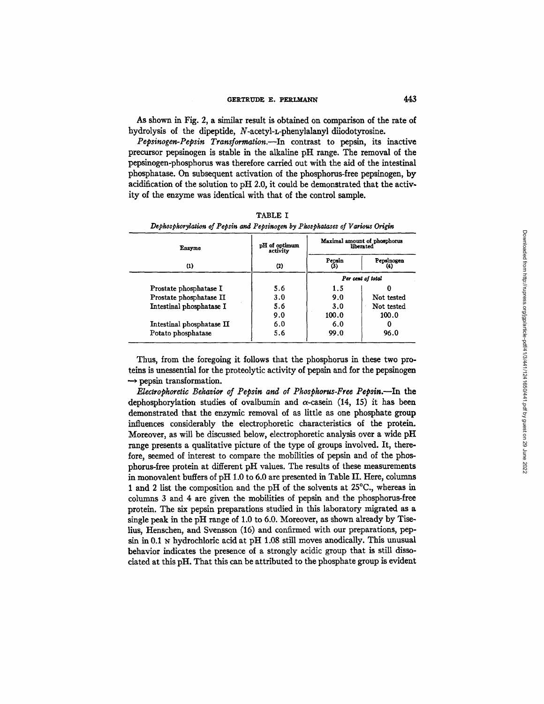## GERTRUDE E. PERLMANN 443

As shown in Fig. 2, a similar result is obtained on comparison of the rate of hydrolysis of the dipeptide, N-acetyl-L-phenylalanyl diiodotyrosine.

*Pepsinogen-Pepsin Transforraation.--In* contrast to pepsin, its inactive precursor pepsinogen is stable in the alkaline pH range. The removal of the pepsinogen-phosphorus was therefore carried out with the aid of the intestinal phosphatase. On subsequent activation of the phosphorus-free pepsinogen, by acidification of the solution to pH 2.0, it could be demonstrated that the activity of the enzyme was identical with that of the control sample.

| Enzyme                    | pH of optimum<br>activity | Maximal amount of phosphorus<br>liberated |            |  |
|---------------------------|---------------------------|-------------------------------------------|------------|--|
| (1)                       | (2)                       | Pepsin<br>G)                              | Pepsinogen |  |
|                           |                           | Per cent of total                         |            |  |
| Prostate phosphatase I    | 5.6                       | 1.5                                       |            |  |
| Prostate phosphatase II   | 3.0                       | 9.0                                       | Not tested |  |
| Intestinal phosphatase I  | 5.6                       | 3.0                                       | Not tested |  |
|                           | 9.0                       | 100.0                                     | 100.0      |  |
| Intestinal phosphatase II | 6.0                       | 6.0                                       | 0          |  |
| Potato phosphatase        | 5.6                       | 99.0                                      | 96.0       |  |

TABLE I *Depkosphorylation of Pepsin and Pepsinogen by Pkospkatases of Various Origin* 

Thus, from the foregoing it follows that the phosphorus in these two proteins is unessential for the proteolytic activity of pepsin and for the pepsinogen  $\rightarrow$  pepsin transformation.

*E1ectrophoretic Bekavior of Pepsin and of Pkospkorus-Free Pepsin.--In* the dephosphorylation studies of ovalbumin and  $\alpha$ -casein (14, 15) it has been demonstrated that the enzymic removal of as little as one phosphate group influences considerably the electrophoretic characteristics of the protein. Moreover, as will be discussed below, electrophoretic analysis over a wide pH range presents a qualitative picture of the type of groups involved. It, therefore, seemed of interest to compare the mobilities of pepsin and of the phosphorus-free protein at different pH values. The results of these measurements in monovalent buffers of pH 1.0 to 6.0 are presented in Table H. Here, columns 1 and 2 list the composition and the pH of the solvents at 25°C., whereas in columns 3 and 4 are given the mobilities of pepsin and the phosphorus-free protein. The six pepsin preparations studied in this laboratory migrated as a single peak in the pH range of 1.0 to 6.0. Moreover, as shown already by Tiselius, Henschen, and Svensson (16) and confirmed with our preparations, pepsin in 0.1 N hydrochloric acid at pH 1.08 still moves anodically. This unusual behavior indicates the presence of a strongly acidic group that is still dissociated at this pH. That this can be attributed to the phosphate group is evident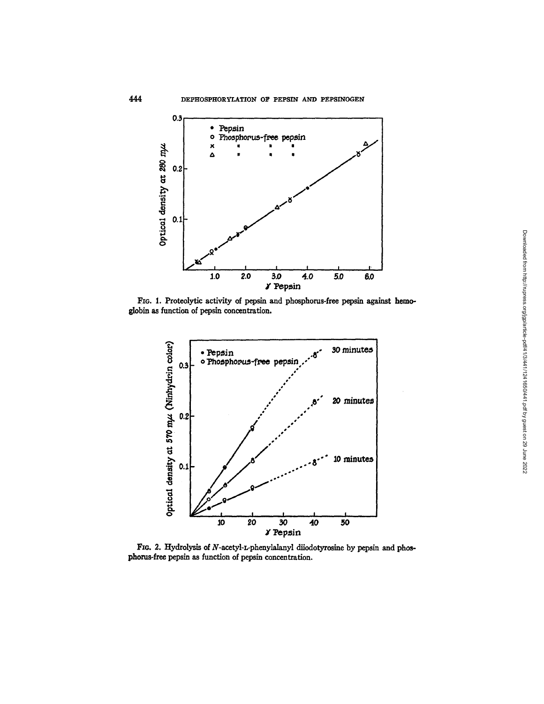

FIG. I. Proteolytic activity of pepsin and phosphorus-free pepsin against hemoglobin as function of pepsin concentration.



FIG. 2. Hydrolysis of N-acetyl-L-phenylalanyl diiodotyrosine by pepsin and phosphorus-free pepsin as function of pepsin concentration.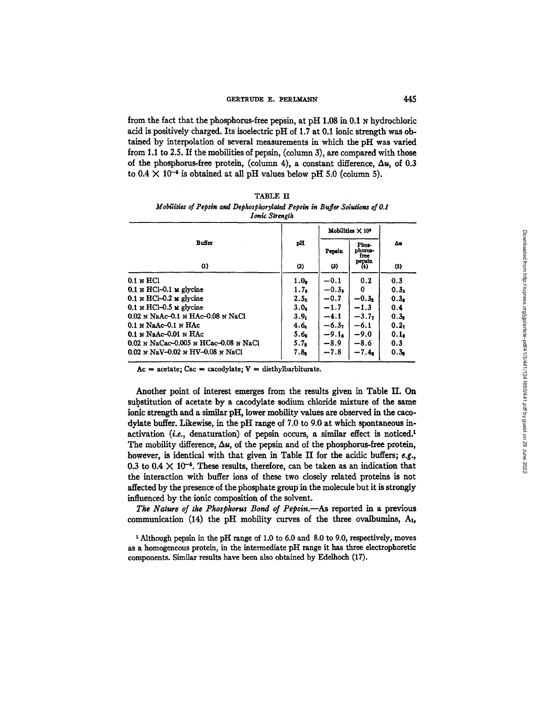## GERTRUDE E. PERLMANN **445**

from the fact that the phosphorus-free pepsin, at pH  $1.08$  in 0.1  $\mu$  hydrochloric acid is positively charged. Its isoelectric pH of 1.7 at 0.1 ionic strength was obtained by interpolation of several measurements in which the pH was varied from 1.1 to 2.5. If the mobilities of pepsin, (column 3), are compared with those of the phosphorus-free protein, (column 4), a constant difference,  $\Delta u$ , of 0.3 to  $0.4 \times 10^{-5}$  is obtained at all pH values below pH 5.0 (column 5).

| TABLE II                                                                    |  |  |  |  |
|-----------------------------------------------------------------------------|--|--|--|--|
| Mobilities of Pepsin and Dephosphorylated Pepsin in Buffer Solutions of 0.1 |  |  |  |  |
| Ionic Strength                                                              |  |  |  |  |

|                                         |                  | Mobilities $\times$ 10 <sup>1</sup> |                          |                  |
|-----------------------------------------|------------------|-------------------------------------|--------------------------|------------------|
| Buffer                                  | pH               | Pepsin                              | Phos-<br>phorus-<br>free | Δs               |
| $\alpha$                                | (2)              | (3)                                 | pepsin<br>$_{(4)}$       | $(5)$            |
| $0.1 \times HCl$                        | 1.0 <sub>s</sub> | $-0.1$                              | 0.2                      | 0.3              |
| $0.1 \times HCl - 0.1 \times g$ gycine  | 1.7 <sub>a</sub> | $-0.3k$                             | 0                        | 0.3 <sub>5</sub> |
| $0.1 \text{ N HCl}$ –0.2 M glycine      | 2.5 <sub>0</sub> | $-0.7$                              | $-0.31$                  | 0.3 <sub>s</sub> |
| $0.1$ N HCl-0.5 M glycine               | 3.0 <sub>5</sub> | $-1.7$                              | $-1.3$                   | 0.4              |
| 0.02 N NaAc-0.1 N HAc-0.08 N NaCl       | 3.9 <sub>1</sub> | $-4.1$                              | $-3.77$                  | 0.3 <sub>1</sub> |
| $0.1$ N NaAc- $0.1$ N HAc               | 4.6.             | $-6.32$                             | $-6.1$                   | 0.27             |
| $0.1$ N NaAc-0.01 N HAc                 | 5.6 <sub>s</sub> | $-9.1$                              | $-9.0$                   | 0.1 <sub>a</sub> |
| $0.02$ N NaCac-0.005 N HCac-0.08 N NaCl | 5.7 <sub>2</sub> | $-8.9$                              | $-8.6$                   | 0.3              |
| $0.02$ N NaV-0.02 N HV-0.08 N NaCl      | 7.8 <sub>1</sub> | $-7.8$                              | $-7.4n$                  | 0.3 <sub>2</sub> |

Ac  $=$  acetate; Cac = cacodylate;  $V =$  diethylbarbiturate.

Another point of interest emerges from the results given in Table II. On substitution of acetate by a cacodylate sodium chloride mixture of the same ionic strength and a similar pH, lower mobility values are observed in the cacodylate buffer. Likewise, in the pH range of 7.0 to 9.0 at which spontaneous inactivation (*i.e.*, denaturation) of pepsin occurs, a similar effect is noticed.<sup>1</sup> The mobility difference,  $\Delta u$ , of the pepsin and of the phosphorus-free protein, however, is identical with that given in Table II for the acidic buffers;  $e.g.,$ 0.3 to 0.4  $\times$  10<sup>-5</sup>. These results, therefore, can be taken as an indication that the interaction with buffer ions of these two closely related proteins is not affected by the presence of the phosphate group in the molecule but it is strongly influenced by the ionic composition of the solvent.

The Nature of the Phosphorus Bond of Pepsin.--As reported in a previous communication (14) the pH mobility curves of the three ovalbumins,  $A_1$ ,

1 Although pepsin in the pH range of 1.0 to 6.0 and 8.0 to 9.0, respectively, moves as a homogeneous protein, in the intermediate pH range it has three electrophoretic components. Similar results have been also obtained by Edelhoch (17).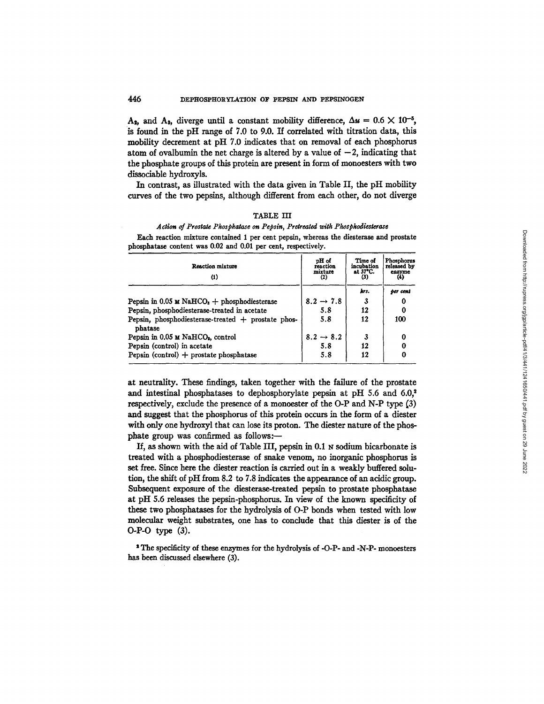#### 446 DEPHOSPHORYLATION OF PEPSIN AND PEPSINOGEN

A<sub>2</sub>, and A<sub>3</sub>, diverge until a constant mobility difference,  $\Delta u = 0.6 \times 10^{-5}$ , is found in the pH range of 7.0 to 9.0. If correlated with titration data, this mobility decrement at pH 7.0 indicates that on removal of each phosphorus atom of ovalbumin the net charge is altered by a value of  $-2$ , indicating that the phosphate groups of this protein are present in form of monoesters with two dissociable hydroxyls.

In contrast, as illustrated with the data given in Table II, the pH mobility curves of the two pepsins, although different from each other, do not diverge

## TABLE III *Action of Prostate Phosphatgse on Pepsin, Pretreated with Phosphodiesterase*

| Reaction mixture<br>$\bf{u}$                                  | pH of<br>reaction<br>mixture<br>(2) | Time of<br>incubation<br>at 37°C. | Phosphorus<br>released by<br>enzyme<br>(4) |  |
|---------------------------------------------------------------|-------------------------------------|-----------------------------------|--------------------------------------------|--|
|                                                               |                                     | krs.                              | ber cent                                   |  |
| Pepsin in 0.05 $\mu$ NaHCO <sub>2</sub> + phosphodiesterase   | $8.2 \rightarrow 7.8$               |                                   | 0                                          |  |
| Pepsin, phosphodiesterase-treated in acetate                  | 5.8                                 | 12                                |                                            |  |
| Pepsin, phosphodiesterase-treated + prostate phos-<br>phatase | 5.8                                 | 12                                | 100                                        |  |
| Pepsin in 0.05 M NaHCO <sub>2</sub> , control                 | $8.2 \rightarrow 8.2$               |                                   | 0                                          |  |
| Pepsin (control) in acetate                                   | 5.8                                 | 12                                |                                            |  |
| Pepsin (control) $+$ prostate phosphatase                     | 5.8                                 | 12                                |                                            |  |

Each reaction mixture contained 1 per cent pepsin, whereas the diesterase and prostate phosphatase content was 0.02 and 0.01 per cent, respectively.

at neutrality. These findings, taken together with the failure of the prostate and intestinal phosphatases to dephosphorylate pepsin at pH 5.6 and  $6.0$ ,<sup>2</sup> respectively, exclude the presence of a monoester of the O-P and N-P type  $(3)$ and suggest that the phosphorus of this protein occurs in the form of a diester with only one hydroxyl that can lose its proton. The diester nature of the phosphate group was confirmed as follows:-

If, as shown with the aid of Table III, pepsin in 0.1 N sodium bicarbonate is treated with a phosphodiesterase of snake venom, no inorganic phosphorus is set free. Since here the diester reaction is carried out in a weakly buffered solution, the shift of pH from 8.2 to 7.8 indicates the appearance of an acidic group. Subsequent exposure of the diesterase-treated pepsin to prostate phosphatase at pH 5.6 releases the pepsin-phosphorus. In view of the known specificity of these two phosphatases for the hydrolysis of O-P bonds when tested with low molecular weight substrates, one has to conclude that this diester is of the O-P-O type (3).

' The specificity of these enzymes for the hydrolysis of -O-P- and -N-P- monoesters has been discussed elsewhere (3).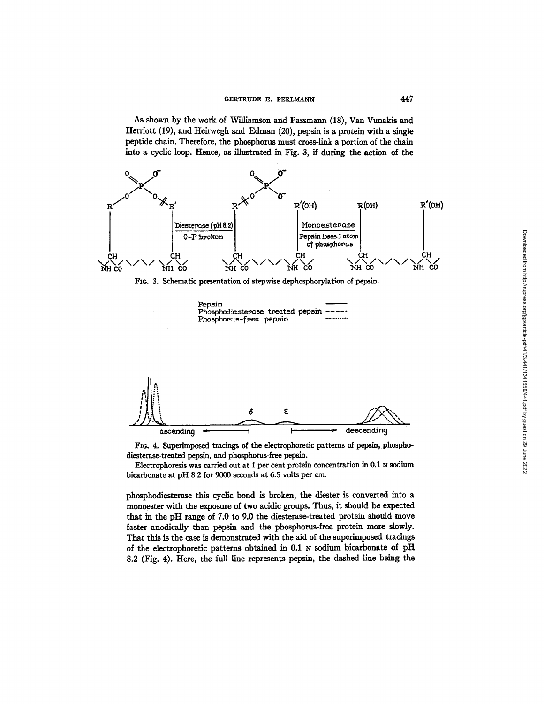As shown by the work of Williamson and Passmann (18), Van Vunakis and Herriott (19), and Heirwegh and Edman (20), pepsin is a protein with a single peptide chain. Therefore, the phosphorus must cross-link a portion of the chain into a cyclic loop. Hence, as illustrated in Fig. 3, if during the action of the









FIG. 4. Superimposed tracings of the electrophoretic patterns of pepsin, phosphodiesterase-treated pepsin, and phosphorus-free pepsin.

Electrophoresis was carried out at 1 per cent protein concentration in 0.1 N sodium bicarbonate at pH 8.2 for 9000 seconds at 6.5 volts per cm.

phosphodiesterase this cyclic bond is broken, the diester is converted into a monoester with the exposure of two acidic groups. Thus, it should be expected that in the pH range of 7.0 to 9.0 the diesterase-treated protein should move faster anodically than pepsin and the phosphorus-free protein more slowly. That this is the case is demonstrated with the aid of the superimposed tracings of the electrophoretic patterns obtained in 0.1 N sodium bicarbonate of pH 8.2 (Fig. 4). Here, the full line represents pepsin, the dashed line being the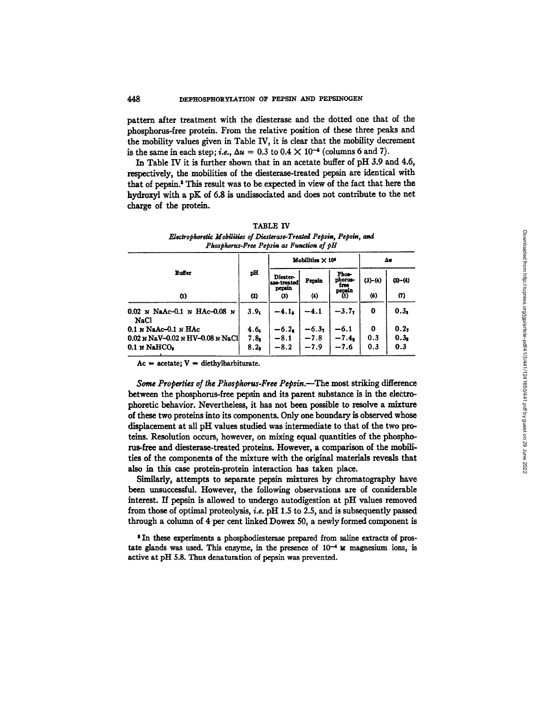#### 448 DEPHOSPHORYLATION OF PEPSIN AND PEPSINOGEN

pattern after treatment with the diesterase and the dotted one that of the phosphorus-free protein. From the relative position of these three peaks and the mobility values given in Table IV, it is clear that the mobility decrement is the same in each step; *i.e.*,  $\Delta u = 0.3$  to  $0.4 \times 10^{-5}$  (columns 6 and 7).

In Table IV it is further shown that in an acetate buffer of pH 3.9 and 4.6, respectively, the mobilities of the diesterase-treated pepsin are identical with that of pepsin.<sup>8</sup> This result was to be expected in view of the fact that here the hydroxyl with a pK of 6.8 is undissociated and does not contribute to the net charge of the protein.

|                                        |                  | Mobilities $\times 10^5$          |                     |                                    | Δs      |                  |
|----------------------------------------|------------------|-----------------------------------|---------------------|------------------------------------|---------|------------------|
| Buffer                                 | pH               | Diester-<br>ase-treated<br>pepsin | Pepsin              | Phos-<br>phorus-<br>free<br>pepsin | (3)–(4) | $(5)-(4)$        |
| $\bf{u}$                               | (2)              | (3)                               | $\langle 4 \rangle$ | $(5)$                              | (6)     | (7)              |
| $0.02$ N NaAc-0.1 N HAc-0.08 N<br>NaCl | 3.9 <sub>1</sub> | $-4.1s$                           | -4.1                | $-3.77$                            | 0       | 0.3 <sub>z</sub> |
| $0.1$ N NaAc- $0.1$ N HAc              | 4.6.             | $-6.2a$                           |                     | $-6.1$                             | 0       | 0.27             |
| $0.02$ N NaV-0.02 N HV-0.08 N NaCl     | $7.8_1$          | $-8.1$                            | $-6.37 - 7.8$       | $-7.48$                            | 0.3     | 0.3 <sub>2</sub> |
| $0.1$ N NaHCO <sub>2</sub>             | 8.2 <sub>2</sub> | $-8.2$                            | $-7.9$              | -7.6                               | 0.3     | 0.3              |

**TABLE IV** Electrophoretic Mobilities of Diesterase-Treated Pepsin, Pepsin, and Phosphorus-Free Pepsin as Function of pH

 $Ac = acetate; V = diethylbarbiturate.$ 

Some Properties of the Phosphorus-Free Pepsin.—The most striking difference between the phosphorus-free pepsin and its parent substance is in the electrophoretic behavior. Nevertheless, it has not been possible to resolve a mixture of these two proteins into its components. Only one boundary is observed whose displacement at all pH values studied was intermediate to that of the two proteins. Resolution occurs, however, on mixing equal quantities of the phosphorus-free and diesterase-treated proteins. However, a comparison of the mobilities of the components of the mixture with the original materials reveals that also in this case protein-protein interaction has taken place.

Similarly, attempts to separate pepsin mixtures by chromatography have been unsuccessful. However, the following observations are of considerable interest. If pepsin is allowed to undergo autodigestion at pH values removed from those of optimal proteolysis, *i.e.* pH 1.5 to 2.5, and is subsequently passed through a column of 4 per cent linked Dowex 50, a newly formed component is

<sup>3</sup> In these experiments a phosphodiesterase prepared from saline extracts of prostate glands was used. This enzyme, in the presence of  $10^{-4}$  M magnesium ions, is active at pH 5.8. Thus denaturation of pepsin was prevented.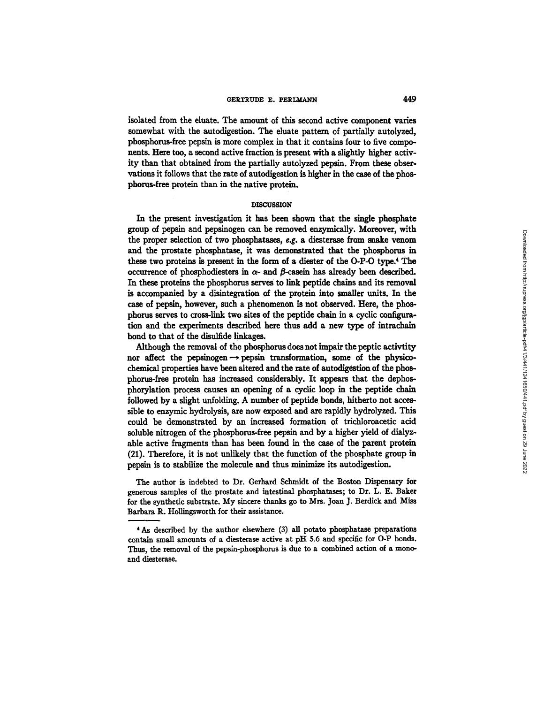#### **GERTRUDE E. PERLMANN** 449

isolated from the eluate. The amount of this second active component varies somewhat with the autodigestion. The eluate pattern of partially autolyzed, phosphorus-free pepsin is more complex in that it contains four to five components. Here too, a second active fraction is present with a slightly higher activity than that obtained from the partially autolyzed pepsin. From these observations it follows that the rate of autodigestion is higher in the case of the phospborus-free protein than in the native protein.

## **DISCUSSION**

In the present investigation it has been shown that the single phosphate group of pepsin and pepsinogen can be removed enzymicaUy. Moreover, with the proper selection of two phosphatases, e.g. a diesterase from snake venom and the prostate pbosphatase, it was demonstrated that the phosphorus in these two proteins is present in the form of a diester of the O-P-O type.<sup>4</sup> The occurrence of phosphodiesters in  $\alpha$ - and  $\beta$ -casein has already been described. In these proteins the phosphorus serves to link peptide chains and its removal is accompanied by a disintegration of the protein into smaller units. In the case of pepsin, however, such a phenomenon is not observed. Here, the phosphorus serves to cross-link two sites of the peptide chain in s cyclic configuration and the experiments described here thus add a new type of intrachain bond to that of the disulfide linkages.

Although the removal of the phosphorus does not impair the peptic activtity nor affect the pepsinogen $\rightarrow$  pepsin transformation, some of the physicochemical properties have been altered and the rate of autodigestion of the phosphorus-free protein has increased considerably. It appears that the dephospborylation process causes an opening of a cyclic loop in the peptide chain followed by a slight unfolding. A number of peptide bonds, hitherto not accessible to enzymic hydrolysis, are now exposed and are rapidly hydrolyzed. This could be demonstrated by an increased formation of trichloroacetic acid soluble nitrogen of the phosphorus-free pepsin and by a higher yield of dialyzable active fragments than has been found in the case of the parent protein (21). Therefore, it is not unlikely that the function of the phosphate group in pepsin is to stabilize the molecule and thus minimize its autodigestion.

The author is indebted to Dr. Gerhard Schmidt of the Boston Dispensary for generous samples of the prostate and intestinal phosphatases; to Dr. L. E. Baker for the synthetic substrate. My sincere thanks go to Mrs. Joan J. Berdick and Miss Barbara R. Hollingsworth for their assistance.

<sup>4</sup> As described by the author elsewhere (3) all potato phosphatase preparations contain small amounts of a diesterase active at pH 5.6 and specific for O-P bonds. Thus, the removal of the pepsin-phosphorus is due to a combined action of a monoand diesterase.